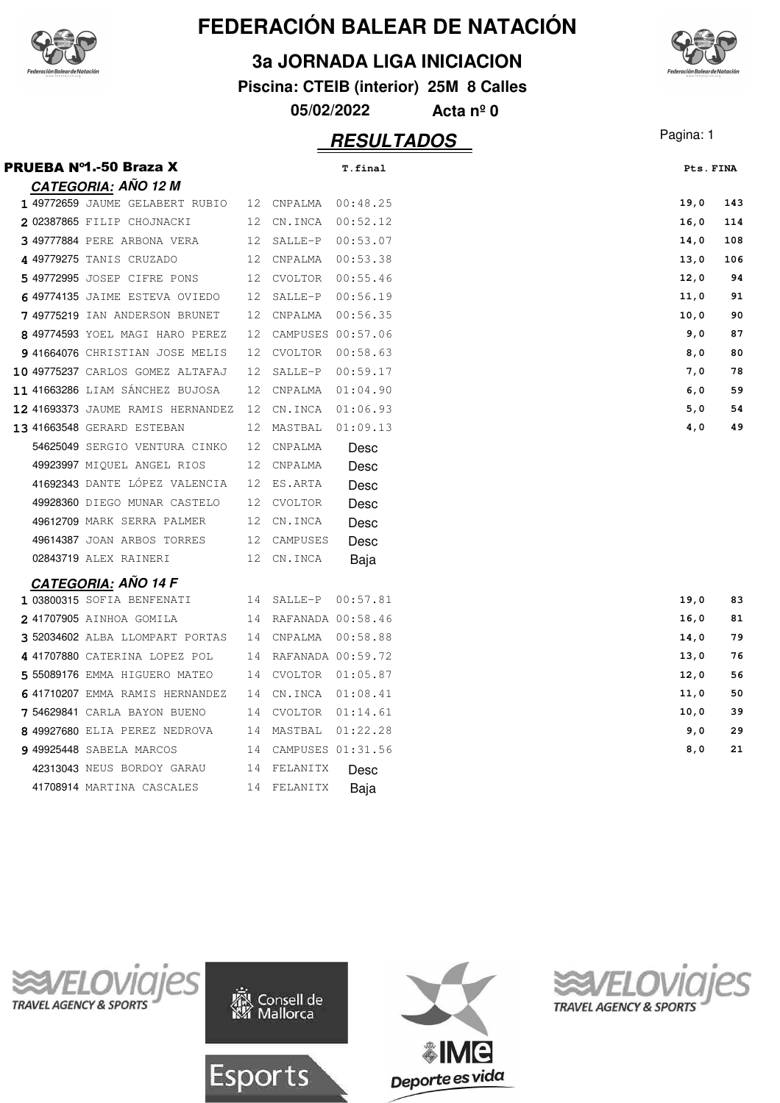

# **FEDERACIÓN BALEAR DE NATACIÓN**

**3a JORNADA LIGA INICIACION**

**Piscina: CTEIB (interior) 25M 8 Calles 05/02/2022 Acta nº 0**

**RESULTADOS** Pagina: 1

| <b>PRUEBA Nº1.-50 Braza X</b>                       |    |                      | T.final  |       | Pts. FINA |
|-----------------------------------------------------|----|----------------------|----------|-------|-----------|
| <b>CATEGORIA: AÑO 12 M</b>                          |    |                      |          |       |           |
| 1 49772659 JAUME GELABERT RUBIO 12 CNPALMA          |    |                      | 00:48.25 | 19,0  | 143       |
| 2 02387865 FILIP CHOJNACKI                          |    | 12 CN.INCA           | 00:52.12 | 16,0  | 114       |
| 3 49777884 PERE ARBONA VERA                         |    | 12 SALLE-P           | 00:53.07 | 14,0  | 108       |
| 4 49779275 TANIS CRUZADO                            |    | 12 CNPALMA 00:53.38  |          | 13,0  | 106       |
| 5 49772995 JOSEP CIFRE PONS 12 CVOLTOR 00:55.46     |    |                      |          | 12,0  | 94        |
| 6 49774135 JAIME ESTEVA OVIEDO                      |    | 12 SALLE-P           | 00:56.19 | 11,0  | 91        |
| 7 49775219 IAN ANDERSON BRUNET                      |    | 12 CNPALMA           | 00:56.35 | 10,0  | 90        |
| 8 49774593 YOEL MAGI HARO PEREZ                     |    | 12 CAMPUSES 00:57.06 |          | 9,0   | 87        |
| 9 41664076 CHRISTIAN JOSE MELIS                     |    | 12 CVOLTOR 00:58.63  |          | 8,0   | 80        |
| 10 49775237 CARLOS GOMEZ ALTAFAJ                    |    | 12 SALLE-P           | 00:59.17 | 7,0   | 78        |
| 11 41663286 LIAM SÁNCHEZ BUJOSA                     |    | 12 CNPALMA           | 01:04.90 | 6,0   | 59        |
| 12 41693373 JAUME RAMIS HERNANDEZ 12 CN.INCA        |    |                      | 01:06.93 | 5,0   | 54        |
| 13 41663548 GERARD ESTEBAN                          |    | 12 MASTBAL           | 01:09.13 | 4,0   | 49        |
| 54625049 SERGIO VENTURA CINKO                       |    | 12 CNPALMA           | Desc     |       |           |
| 49923997 MIQUEL ANGEL RIOS                          | 12 | CNPALMA              | Desc     |       |           |
| 41692343 DANTE LÓPEZ VALENCIA                       |    | 12 ES.ARTA           | Desc     |       |           |
| 49928360 DIEGO MUNAR CASTELO                        |    | 12 CVOLTOR           | Desc     |       |           |
| 49612709 MARK SERRA PALMER                          |    | 12 CN.INCA           | Desc     |       |           |
| 49614387 JOAN ARBOS TORRES                          |    | 12 CAMPUSES          | Desc     |       |           |
| 02843719 ALEX RAINERI                               |    | 12 CN.INCA           | Baja     |       |           |
| <b>CATEGORIA: AÑO 14 F</b>                          |    |                      |          |       |           |
| 1 03800315 SOFIA BENFENATI                          |    | 14 SALLE-P 00:57.81  |          | 19,0  | 83        |
| 2 41707905 AINHOA GOMILA                            |    | 14 RAFANADA 00:58.46 |          | 16,0  | 81        |
| 3 52034602 ALBA LLOMPART PORTAS 14 CNPALMA 00:58.88 |    |                      |          | 14,0  | 79        |
| 4 41707880 CATERINA LOPEZ POL 14 RAFANADA 00:59.72  |    |                      |          | 13,0  | 76        |
| 5 55089176 EMMA HIGUERO MATEO                       |    | 14 CVOLTOR 01:05.87  |          | 12,0  | 56        |
| 6 41710207 EMMA RAMIS HERNANDEZ                     |    | 14 CN.INCA 01:08.41  |          | 11,0  | 50        |
| 7 54629841 CARLA BAYON BUENO                        |    | 14 CVOLTOR 01:14.61  |          | 10, 0 | 39        |
| 8 49927680 ELIA PEREZ NEDROVA                       |    | 14 MASTBAL           | 01:22.28 | 9,0   | 29        |
| 9 49925448 SABELA MARCOS                            |    | 14 CAMPUSES 01:31.56 |          | 8,0   | 21        |
| 42313043 NEUS BORDOY GARAU                          |    | 14 FELANITX          | Desc     |       |           |
| 41708914 MARTINA CASCALES                           |    | 14 FELANITX          | Baia     |       |           |